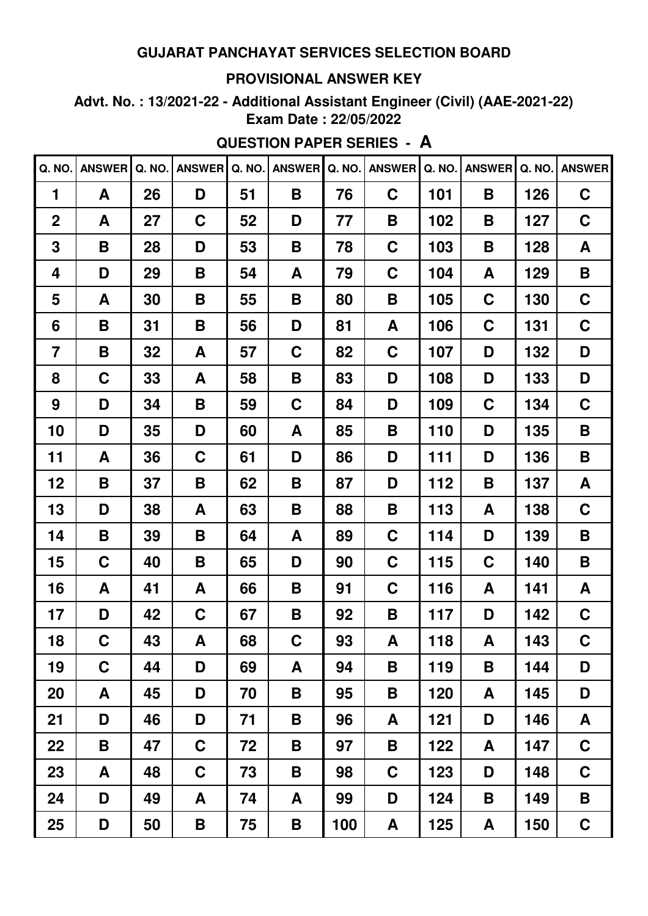#### **PROVISIONAL ANSWER KEY**

**Advt. No. : 13/2021-22 - Additional Assistant Engineer (Civil) (AAE-2021-22) Exam Date : 22/05/2022**

## **QUESTION PAPER SERIES - A**

| Q. NO.         | ANSWER Q. NO. |    | <b>ANSWER</b> | Q. NO. | <b>ANSWER</b> | Q. NO. | <b>ANSWER</b> | Q. NO. | <b>ANSWER</b> | Q. NO. | <b>ANSWER</b> |
|----------------|---------------|----|---------------|--------|---------------|--------|---------------|--------|---------------|--------|---------------|
| 1              | A             | 26 | D             | 51     | B             | 76     | C             | 101    | B             | 126    | C             |
| $\mathbf 2$    | A             | 27 | C             | 52     | D             | 77     | B             | 102    | B             | 127    | C             |
| 3              | B             | 28 | D             | 53     | B             | 78     | C             | 103    | В             | 128    | A             |
| 4              | D             | 29 | B             | 54     | A             | 79     | C             | 104    | A             | 129    | B             |
| 5              | A             | 30 | B             | 55     | B             | 80     | B             | 105    | C             | 130    | C             |
| 6              | B             | 31 | B             | 56     | D             | 81     | A             | 106    | C             | 131    | C             |
| $\overline{7}$ | B             | 32 | A             | 57     | C             | 82     | C             | 107    | D             | 132    | D             |
| 8              | C             | 33 | A             | 58     | B             | 83     | D             | 108    | D             | 133    | D             |
| 9              | D             | 34 | Β             | 59     | C             | 84     | D             | 109    | C             | 134    | C             |
| 10             | D             | 35 | D             | 60     | A             | 85     | B             | 110    | D             | 135    | B             |
| 11             | A             | 36 | C             | 61     | D             | 86     | D             | 111    | D             | 136    | B             |
| 12             | B             | 37 | B             | 62     | B             | 87     | D             | 112    | B             | 137    | A             |
| 13             | D             | 38 | A             | 63     | B             | 88     | B             | 113    | A             | 138    | C             |
| 14             | B             | 39 | Β             | 64     | A             | 89     | C             | 114    | D             | 139    | B             |
| 15             | C             | 40 | B             | 65     | D             | 90     | C             | 115    | C             | 140    | B             |
| 16             | A             | 41 | A             | 66     | B             | 91     | C             | 116    | A             | 141    | A             |
| 17             | D             | 42 | C             | 67     | Β             | 92     | B             | 117    | D             | 142    | C             |
| 18             | $\mathbf C$   | 43 | A             | 68     | $\mathbf C$   | 93     | A             | 118    | A             | 143    | $\mathbf C$   |
| 19             | $\mathbf C$   | 44 | D             | 69     | A             | 94     | Β             | 119    | B             | 144    | D             |
| 20             | A             | 45 | D             | 70     | B             | 95     | Β             | 120    | A             | 145    | D             |
| 21             | D             | 46 | D             | 71     | B             | 96     | A             | 121    | D             | 146    | A             |
| 22             | B             | 47 | $\mathbf C$   | 72     | B             | 97     | B             | 122    | A             | 147    | $\mathbf C$   |
| 23             | A             | 48 | $\mathbf C$   | 73     | B             | 98     | C             | 123    | D             | 148    | $\mathbf C$   |
| 24             | D             | 49 | A             | 74     | A             | 99     | D             | 124    | B             | 149    | B             |
| 25             | D             | 50 | B             | 75     | B             | 100    | A             | 125    | A             | 150    | $\mathbf C$   |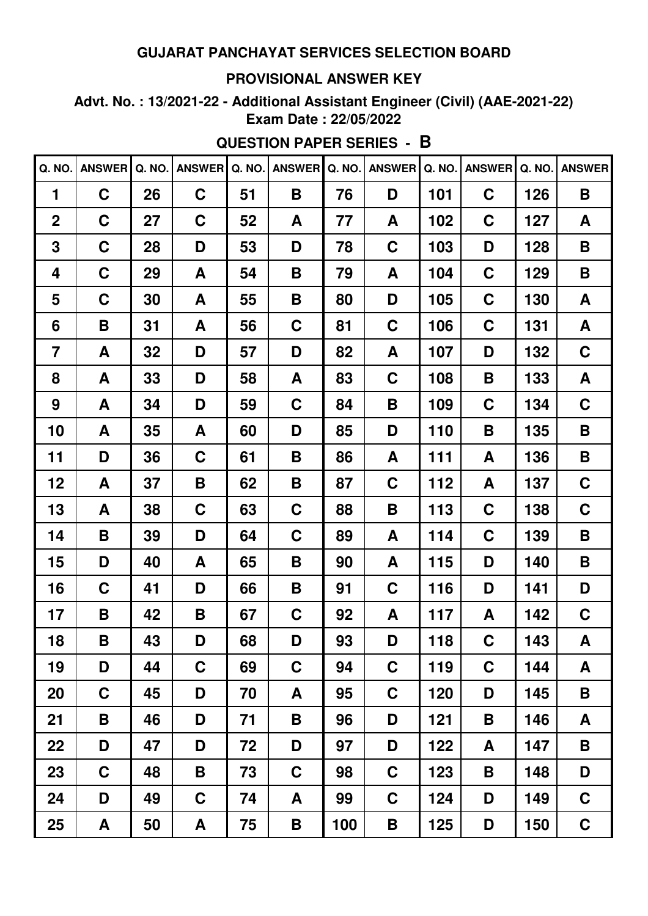#### **PROVISIONAL ANSWER KEY**

**Advt. No. : 13/2021-22 - Additional Assistant Engineer (Civil) (AAE-2021-22) Exam Date : 22/05/2022**

# **QUESTION PAPER SERIES - B**

| Q. NO.           | <b>ANSWER</b> | <b>Q. NO.</b> | <b>ANSWER</b> | Q. NO. | <b>ANSWER</b> | Q. NO. | <b>ANSWER</b> | Q. NO. | <b>ANSWER</b> | Q. NO. | <b>ANSWER</b> |
|------------------|---------------|---------------|---------------|--------|---------------|--------|---------------|--------|---------------|--------|---------------|
| 1                | $\mathbf C$   | 26            | $\mathbf C$   | 51     | Β             | 76     | D             | 101    | $\mathbf C$   | 126    | B             |
| $\boldsymbol{2}$ | $\mathbf C$   | 27            | $\mathbf C$   | 52     | A             | 77     | A             | 102    | $\mathbf C$   | 127    | A             |
| 3                | C             | 28            | D             | 53     | D             | 78     | C             | 103    | D             | 128    | B             |
| 4                | C             | 29            | A             | 54     | Β             | 79     | A             | 104    | C             | 129    | B             |
| 5                | C             | 30            | A             | 55     | Β             | 80     | D             | 105    | C             | 130    | A             |
| 6                | B             | 31            | A             | 56     | C             | 81     | C             | 106    | C             | 131    | A             |
| $\overline{7}$   | A             | 32            | D             | 57     | D             | 82     | A             | 107    | D             | 132    | C             |
| 8                | A             | 33            | D             | 58     | A             | 83     | C             | 108    | B             | 133    | A             |
| 9                | A             | 34            | D             | 59     | C             | 84     | Β             | 109    | C             | 134    | C             |
| 10               | A             | 35            | A             | 60     | D             | 85     | D             | 110    | B             | 135    | B             |
| 11               | D             | 36            | C             | 61     | B             | 86     | A             | 111    | A             | 136    | B             |
| 12               | A             | 37            | B             | 62     | Β             | 87     | C             | 112    | A             | 137    | C             |
| 13               | A             | 38            | C             | 63     | C             | 88     | Β             | 113    | C             | 138    | C             |
| 14               | B             | 39            | D             | 64     | C             | 89     | A             | 114    | $\mathbf C$   | 139    | B             |
| 15               | D             | 40            | A             | 65     | B             | 90     | A             | 115    | D             | 140    | B             |
| 16               | C             | 41            | D             | 66     | B             | 91     | C             | 116    | D             | 141    | D             |
| 17               | B             | 42            | B             | 67     | C             | 92     | A             | 117    | A             | 142    | C             |
| 18               | B             | 43            | D             | 68     | D             | 93     | D             | 118    | $\mathbf C$   | 143    | A             |
| 19               | D             | 44            | $\mathbf C$   | 69     | C             | 94     | $\mathbf C$   | 119    | $\mathbf C$   | 144    | A             |
| 20               | $\mathbf C$   | 45            | D             | 70     | A             | 95     | C             | 120    | D             | 145    | B             |
| 21               | B             | 46            | D             | 71     | Β             | 96     | D             | 121    | B             | 146    | A             |
| 22               | D             | 47            | D             | 72     | D             | 97     | D             | 122    | A             | 147    | B             |
| 23               | $\mathbf C$   | 48            | B             | 73     | $\mathbf C$   | 98     | $\mathbf C$   | 123    | B             | 148    | D             |
| 24               | D             | 49            | $\mathbf C$   | 74     | A             | 99     | $\mathbf C$   | 124    | D             | 149    | $\mathbf C$   |
| 25               | A             | 50            | A             | 75     | B             | 100    | B             | 125    | D             | 150    | $\mathbf C$   |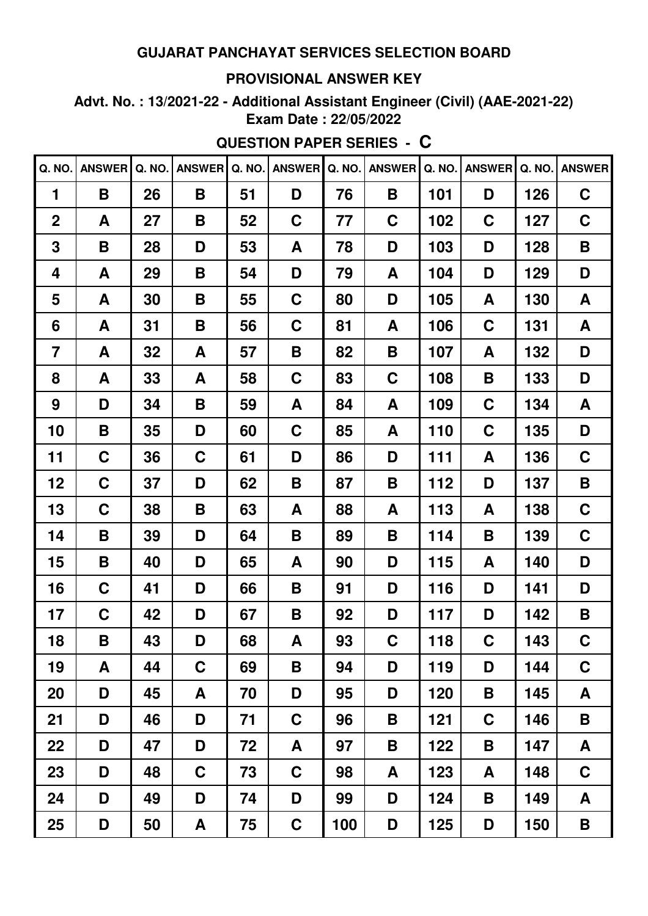#### **PROVISIONAL ANSWER KEY**

**Advt. No. : 13/2021-22 - Additional Assistant Engineer (Civil) (AAE-2021-22) Exam Date : 22/05/2022**

# **QUESTION PAPER SERIES - C**

| Q. NO.         | <b>ANSWER</b> | Q. NO. | <b>ANSWER</b> | Q. NO. | <b>ANSWER</b> | Q. NO. | <b>ANSWER</b> | Q. NO. | <b>ANSWER</b> | Q. NO. | <b>ANSWER</b> |
|----------------|---------------|--------|---------------|--------|---------------|--------|---------------|--------|---------------|--------|---------------|
| 1              | B             | 26     | B             | 51     | D             | 76     | B             | 101    | D             | 126    | C             |
| $\overline{2}$ | A             | 27     | B             | 52     | $\mathbf C$   | 77     | C             | 102    | $\mathbf C$   | 127    | C             |
| 3              | B             | 28     | D             | 53     | A             | 78     | D             | 103    | D             | 128    | B             |
| 4              | A             | 29     | Β             | 54     | D             | 79     | A             | 104    | D             | 129    | D             |
| 5              | A             | 30     | Β             | 55     | C             | 80     | D             | 105    | A             | 130    | A             |
| 6              | A             | 31     | B             | 56     | C             | 81     | A             | 106    | $\mathbf C$   | 131    | A             |
| $\overline{7}$ | A             | 32     | A             | 57     | Β             | 82     | B             | 107    | A             | 132    | D             |
| 8              | A             | 33     | A             | 58     | C             | 83     | C             | 108    | B             | 133    | D             |
| 9              | D             | 34     | B             | 59     | A             | 84     | A             | 109    | C             | 134    | A             |
| 10             | B             | 35     | D             | 60     | C             | 85     | A             | 110    | C             | 135    | D             |
| 11             | C             | 36     | C             | 61     | D             | 86     | D             | 111    | A             | 136    | C             |
| 12             | $\mathbf C$   | 37     | D             | 62     | B             | 87     | B             | 112    | D             | 137    | B             |
| 13             | C             | 38     | Β             | 63     | A             | 88     | A             | 113    | A             | 138    | C             |
| 14             | B             | 39     | D             | 64     | B             | 89     | B             | 114    | B             | 139    | C             |
| 15             | B             | 40     | D             | 65     | A             | 90     | D             | 115    | A             | 140    | D             |
| 16             | C             | 41     | D             | 66     | B             | 91     | D             | 116    | D             | 141    | D             |
| 17             | C             | 42     | D             | 67     | B             | 92     | D             | 117    | D             | 142    | Β             |
| 18             | B             | 43     | D             | 68     | A             | 93     | $\mathbf C$   | 118    | $\mathbf C$   | 143    | $\mathbf C$   |
| 19             | A             | 44     | C             | 69     | B             | 94     | D             | 119    | D             | 144    | $\mathbf C$   |
| 20             | D             | 45     | A             | 70     | D             | 95     | D             | 120    | B             | 145    | A             |
| 21             | D             | 46     | D             | 71     | $\mathbf C$   | 96     | Β             | 121    | $\mathbf C$   | 146    | B             |
| 22             | D             | 47     | D             | 72     | A             | 97     | B             | 122    | Β             | 147    | A             |
| 23             | D             | 48     | $\mathbf C$   | 73     | $\mathbf C$   | 98     | A             | 123    | A             | 148    | $\mathbf C$   |
| 24             | D             | 49     | D             | 74     | D             | 99     | D             | 124    | B             | 149    | A             |
| 25             | D             | 50     | A             | 75     | $\mathbf C$   | 100    | D             | 125    | D             | 150    | B             |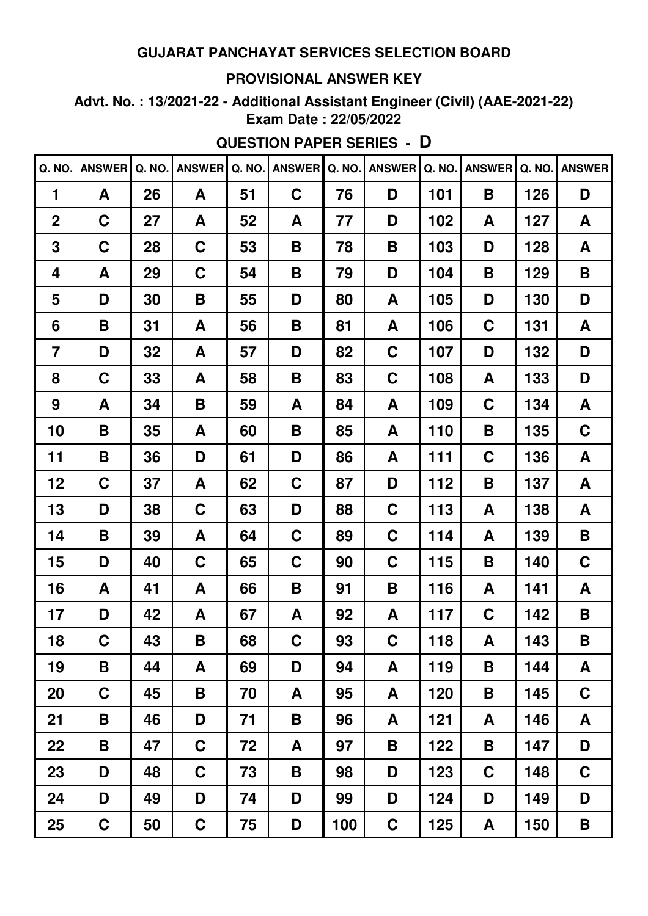#### **PROVISIONAL ANSWER KEY**

**Advt. No. : 13/2021-22 - Additional Assistant Engineer (Civil) (AAE-2021-22) Exam Date : 22/05/2022**

# **QUESTION PAPER SERIES - D**

| Q. NO.         | <b>ANSWER</b> | Q. NO. | <b>ANSWER</b> | Q. NO. | <b>ANSWER</b> | Q. NO. | <b>ANSWER</b> | Q. NO. | <b>ANSWER</b> | Q. NO. | <b>ANSWER</b> |
|----------------|---------------|--------|---------------|--------|---------------|--------|---------------|--------|---------------|--------|---------------|
| 1              | A             | 26     | A             | 51     | $\mathbf C$   | 76     | D             | 101    | B             | 126    | D             |
| $\overline{2}$ | C             | 27     | A             | 52     | A             | 77     | D             | 102    | A             | 127    | A             |
| 3              | C             | 28     | $\mathbf C$   | 53     | B             | 78     | B             | 103    | D             | 128    | A             |
| 4              | A             | 29     | C             | 54     | B             | 79     | D             | 104    | B             | 129    | Β             |
| 5              | D             | 30     | B             | 55     | D             | 80     | A             | 105    | D             | 130    | D             |
| 6              | B             | 31     | A             | 56     | B             | 81     | A             | 106    | C             | 131    | A             |
| $\overline{7}$ | D             | 32     | A             | 57     | D             | 82     | C             | 107    | D             | 132    | D             |
| 8              | C             | 33     | A             | 58     | B             | 83     | C             | 108    | A             | 133    | D             |
| 9              | A             | 34     | B             | 59     | A             | 84     | A             | 109    | $\mathbf C$   | 134    | A             |
| 10             | B             | 35     | A             | 60     | B             | 85     | A             | 110    | B             | 135    | C             |
| 11             | B             | 36     | D             | 61     | D             | 86     | A             | 111    | C             | 136    | A             |
| 12             | C             | 37     | A             | 62     | C             | 87     | D             | 112    | B             | 137    | A             |
| 13             | D             | 38     | C             | 63     | D             | 88     | C             | 113    | A             | 138    | A             |
| 14             | B             | 39     | A             | 64     | C             | 89     | C             | 114    | A             | 139    | B             |
| 15             | D             | 40     | C             | 65     | C             | 90     | C             | 115    | B             | 140    | C             |
| 16             | A             | 41     | A             | 66     | B             | 91     | Β             | 116    | A             | 141    | A             |
| 17             | D             | 42     | A             | 67     | A             | 92     | A             | 117    | C             | 142    | B             |
| 18             | $\mathbf C$   | 43     | B             | 68     | $\mathbf C$   | 93     | $\mathbf C$   | 118    | A             | 143    | B             |
| 19             | B             | 44     | A             | 69     | D             | 94     | A             | 119    | B             | 144    | A             |
| 20             | $\mathbf C$   | 45     | B             | 70     | A             | 95     | A             | 120    | B             | 145    | $\mathbf C$   |
| 21             | B             | 46     | D             | 71     | B             | 96     | A             | 121    | A             | 146    | A             |
| 22             | B             | 47     | $\mathbf C$   | 72     | A             | 97     | Β             | 122    | B             | 147    | D             |
| 23             | D             | 48     | $\mathbf C$   | 73     | B             | 98     | D             | 123    | $\mathbf C$   | 148    | C             |
| 24             | D             | 49     | D             | 74     | D             | 99     | D             | 124    | D             | 149    | D             |
| 25             | $\mathbf C$   | 50     | $\mathbf C$   | 75     | D             | 100    | $\mathbf C$   | 125    | A             | 150    | B             |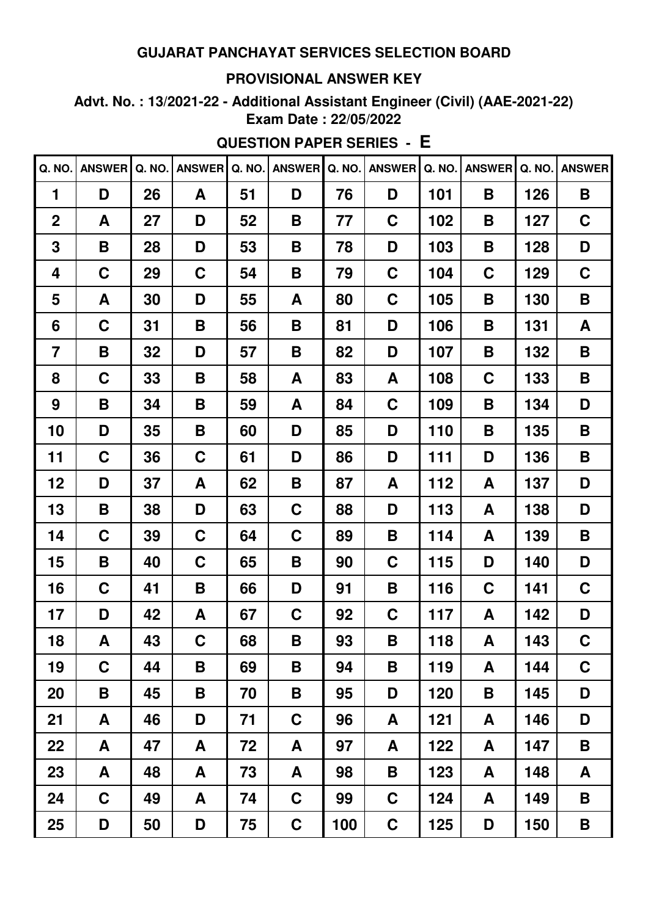#### **PROVISIONAL ANSWER KEY**

**Advt. No. : 13/2021-22 - Additional Assistant Engineer (Civil) (AAE-2021-22) Exam Date : 22/05/2022**

## **QUESTION PAPER SERIES - E**

| Q. NO.         | <b>ANSWER</b> | Q. NO. | <b>ANSWER</b> | Q. NO. | <b>ANSWER</b> | Q. NO. | <b>ANSWER</b> | Q. NO. | <b>ANSWER</b> | Q. NO. | <b>ANSWER</b> |
|----------------|---------------|--------|---------------|--------|---------------|--------|---------------|--------|---------------|--------|---------------|
| 1              | D             | 26     | A             | 51     | D             | 76     | D             | 101    | B             | 126    | B             |
| $\overline{2}$ | A             | 27     | D             | 52     | B             | 77     | C             | 102    | B             | 127    | C             |
| 3              | B             | 28     | D             | 53     | B             | 78     | D             | 103    | Β             | 128    | D             |
| 4              | C             | 29     | C             | 54     | B             | 79     | C             | 104    | $\mathbf C$   | 129    | C             |
| 5              | A             | 30     | D             | 55     | A             | 80     | C             | 105    | B             | 130    | Β             |
| 6              | C             | 31     | B             | 56     | B             | 81     | D             | 106    | B             | 131    | A             |
| $\overline{7}$ | B             | 32     | D             | 57     | B             | 82     | D             | 107    | B             | 132    | B             |
| 8              | C             | 33     | B             | 58     | A             | 83     | A             | 108    | C             | 133    | B             |
| 9              | B             | 34     | B             | 59     | A             | 84     | C             | 109    | B             | 134    | D             |
| 10             | D             | 35     | Β             | 60     | D             | 85     | D             | 110    | B             | 135    | B             |
| 11             | C             | 36     | C             | 61     | D             | 86     | D             | 111    | D             | 136    | B             |
| 12             | D             | 37     | A             | 62     | B             | 87     | A             | 112    | A             | 137    | D             |
| 13             | B             | 38     | D             | 63     | C             | 88     | D             | 113    | A             | 138    | D             |
| 14             | C             | 39     | C             | 64     | C             | 89     | B             | 114    | A             | 139    | B             |
| 15             | B             | 40     | C             | 65     | B             | 90     | C             | 115    | D             | 140    | D             |
| 16             | C             | 41     | B             | 66     | D             | 91     | Β             | 116    | $\mathbf C$   | 141    | C             |
| 17             | D             | 42     | A             | 67     | C             | 92     | C             | 117    | A             | 142    | D             |
| 18             | A             | 43     | C             | 68     | B             | 93     | B             | 118    | A             | 143    | $\mathbf C$   |
| 19             | $\mathbf C$   | 44     | B             | 69     | B             | 94     | B             | 119    | A             | 144    | $\mathbf C$   |
| 20             | B             | 45     | B             | 70     | B             | 95     | D             | 120    | B             | 145    | D             |
| 21             | A             | 46     | D             | 71     | $\mathbf C$   | 96     | A             | 121    | A             | 146    | D             |
| 22             | A             | 47     | A             | 72     | A             | 97     | A             | 122    | A             | 147    | B             |
| 23             | A             | 48     | A             | 73     | A             | 98     | Β             | 123    | A             | 148    | A             |
| 24             | $\mathbf C$   | 49     | A             | 74     | $\mathbf C$   | 99     | C             | 124    | A             | 149    | B             |
| 25             | D             | 50     | D             | 75     | $\mathbf C$   | 100    | $\mathbf C$   | 125    | D             | 150    | B             |